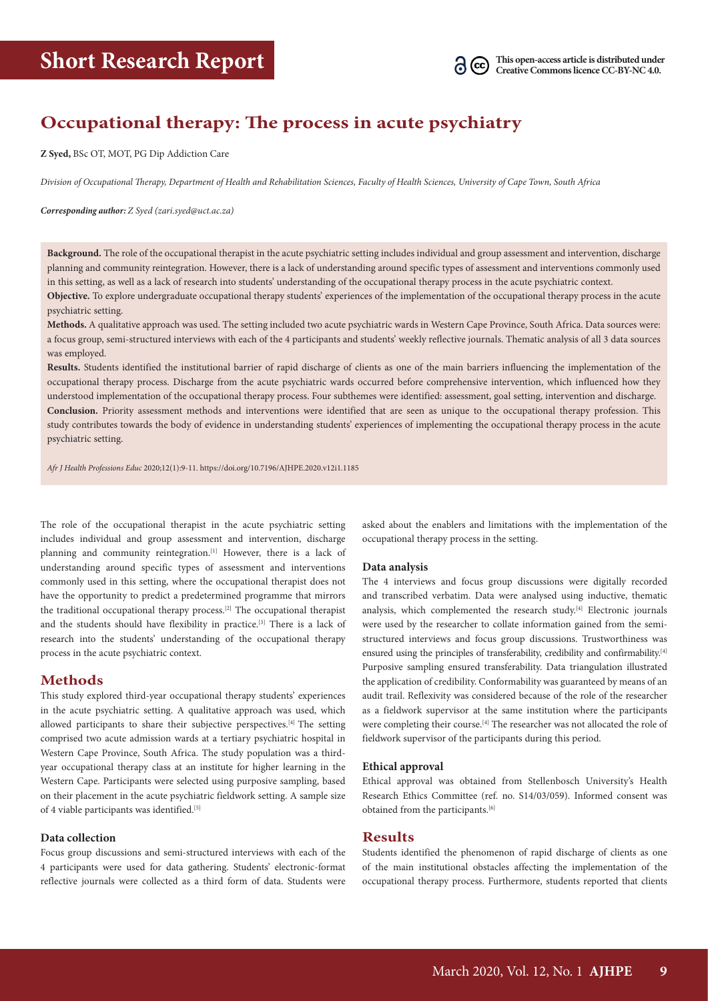# **Occupational therapy: The process in acute psychiatry**

**Z Syed,** BSc OT, MOT, PG Dip Addiction Care

*Division of Occupational Therapy, Department of Health and Rehabilitation Sciences, Faculty of Health Sciences, University of Cape Town, South Africa*

*Corresponding author: Z Syed (zari.syed@uct.ac.za)*

**Background.** The role of the occupational therapist in the acute psychiatric setting includes individual and group assessment and intervention, discharge planning and community reintegration. However, there is a lack of understanding around specific types of assessment and interventions commonly used in this setting, as well as a lack of research into students' understanding of the occupational therapy process in the acute psychiatric context.

**Objective.** To explore undergraduate occupational therapy students' experiences of the implementation of the occupational therapy process in the acute psychiatric setting.

**Methods.** A qualitative approach was used. The setting included two acute psychiatric wards in Western Cape Province, South Africa. Data sources were: a focus group, semi-structured interviews with each of the 4 participants and students' weekly reflective journals. Thematic analysis of all 3 data sources was employed.

**Results.** Students identified the institutional barrier of rapid discharge of clients as one of the main barriers influencing the implementation of the occupational therapy process. Discharge from the acute psychiatric wards occurred before comprehensive intervention, which influenced how they understood implementation of the occupational therapy process. Four subthemes were identified: assessment, goal setting, intervention and discharge. **Conclusion.** Priority assessment methods and interventions were identified that are seen as unique to the occupational therapy profession. This study contributes towards the body of evidence in understanding students' experiences of implementing the occupational therapy process in the acute psychiatric setting.

*Afr J Health Professions Educ* 2020;12(1):9-11. https://doi.org/10.7196/AJHPE.2020.v12i1.1185

The role of the occupational therapist in the acute psychiatric setting includes individual and group assessment and intervention, discharge planning and community reintegration.<sup>[1]</sup> However, there is a lack of understanding around specific types of assessment and interventions commonly used in this setting, where the occupational therapist does not have the opportunity to predict a predetermined programme that mirrors the traditional occupational therapy process.<sup>[2]</sup> The occupational therapist and the students should have flexibility in practice.<sup>[3]</sup> There is a lack of research into the students' understanding of the occupational therapy process in the acute psychiatric context.

# **Methods**

This study explored third-year occupational therapy students' experiences in the acute psychiatric setting. A qualitative approach was used, which allowed participants to share their subjective perspectives.[4] The setting comprised two acute admission wards at a tertiary psychiatric hospital in Western Cape Province, South Africa. The study population was a thirdyear occupational therapy class at an institute for higher learning in the Western Cape. Participants were selected using purposive sampling, based on their placement in the acute psychiatric fieldwork setting. A sample size of 4 viable participants was identified.<sup>[5]</sup>

#### **Data collection**

Focus group discussions and semi-structured interviews with each of the 4 participants were used for data gathering. Students' electronic-format reflective journals were collected as a third form of data. Students were

asked about the enablers and limitations with the implementation of the occupational therapy process in the setting.

#### **Data analysis**

The 4 interviews and focus group discussions were digitally recorded and transcribed verbatim. Data were analysed using inductive, thematic analysis, which complemented the research study.[4] Electronic journals were used by the researcher to collate information gained from the semistructured interviews and focus group discussions. Trustworthiness was ensured using the principles of transferability, credibility and confirmability.<sup>[4]</sup> Purposive sampling ensured transferability. Data triangulation illustrated the application of credibility. Conformability was guaranteed by means of an audit trail. Reflexivity was considered because of the role of the researcher as a fieldwork supervisor at the same institution where the participants were completing their course.<sup>[4]</sup> The researcher was not allocated the role of fieldwork supervisor of the participants during this period.

#### **Ethical approval**

Ethical approval was obtained from Stellenbosch University's Health Research Ethics Committee (ref. no. S14/03/059). Informed consent was obtained from the participants.[6]

## **Results**

Students identified the phenomenon of rapid discharge of clients as one of the main institutional obstacles affecting the implementation of the occupational therapy process. Furthermore, students reported that clients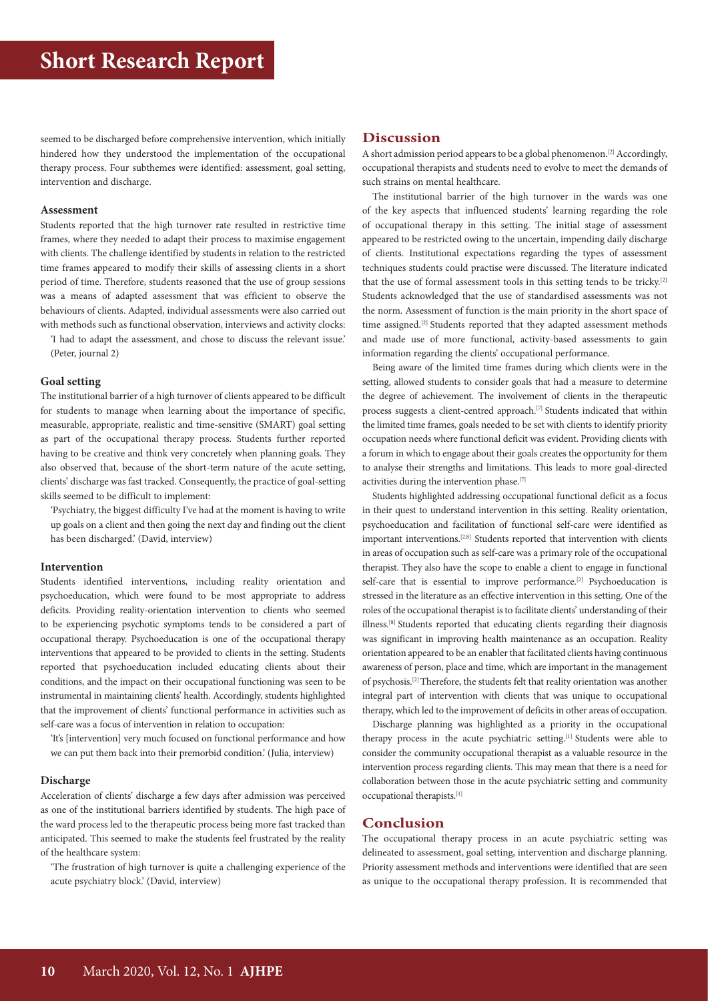seemed to be discharged before comprehensive intervention, which initially hindered how they understood the implementation of the occupational therapy process. Four subthemes were identified: assessment, goal setting, intervention and discharge.

#### **Assessment**

Students reported that the high turnover rate resulted in restrictive time frames, where they needed to adapt their process to maximise engagement with clients. The challenge identified by students in relation to the restricted time frames appeared to modify their skills of assessing clients in a short period of time. Therefore, students reasoned that the use of group sessions was a means of adapted assessment that was efficient to observe the behaviours of clients. Adapted, individual assessments were also carried out with methods such as functional observation, interviews and activity clocks:

'I had to adapt the assessment, and chose to discuss the relevant issue.' (Peter, journal 2)

#### **Goal setting**

The institutional barrier of a high turnover of clients appeared to be difficult for students to manage when learning about the importance of specific, measurable, appropriate, realistic and time-sensitive (SMART) goal setting as part of the occupational therapy process. Students further reported having to be creative and think very concretely when planning goals. They also observed that, because of the short-term nature of the acute setting, clients' discharge was fast tracked. Consequently, the practice of goal-setting skills seemed to be difficult to implement:

'Psychiatry, the biggest difficulty I've had at the moment is having to write up goals on a client and then going the next day and finding out the client has been discharged.' (David, interview)

#### **Intervention**

Students identified interventions, including reality orientation and psychoeducation, which were found to be most appropriate to address deficits. Providing reality-orientation intervention to clients who seemed to be experiencing psychotic symptoms tends to be considered a part of occupational therapy. Psychoeducation is one of the occupational therapy interventions that appeared to be provided to clients in the setting. Students reported that psychoeducation included educating clients about their conditions, and the impact on their occupational functioning was seen to be instrumental in maintaining clients' health. Accordingly, students highlighted that the improvement of clients' functional performance in activities such as self-care was a focus of intervention in relation to occupation:

'It's [intervention] very much focused on functional performance and how we can put them back into their premorbid condition.' (Julia, interview)

#### **Discharge**

Acceleration of clients' discharge a few days after admission was perceived as one of the institutional barriers identified by students. The high pace of the ward process led to the therapeutic process being more fast tracked than anticipated. This seemed to make the students feel frustrated by the reality of the healthcare system:

'The frustration of high turnover is quite a challenging experience of the acute psychiatry block.' (David, interview)

### **Discussion**

A short admission period appears to be a global phenomenon.<sup>[2]</sup> Accordingly, occupational therapists and students need to evolve to meet the demands of such strains on mental healthcare.

The institutional barrier of the high turnover in the wards was one of the key aspects that influenced students' learning regarding the role of occupational therapy in this setting. The initial stage of assessment appeared to be restricted owing to the uncertain, impending daily discharge of clients. Institutional expectations regarding the types of assessment techniques students could practise were discussed. The literature indicated that the use of formal assessment tools in this setting tends to be tricky.[2] Students acknowledged that the use of standardised assessments was not the norm. Assessment of function is the main priority in the short space of time assigned.<sup>[2]</sup> Students reported that they adapted assessment methods and made use of more functional, activity-based assessments to gain information regarding the clients' occupational performance.

Being aware of the limited time frames during which clients were in the setting, allowed students to consider goals that had a measure to determine the degree of achievement. The involvement of clients in the therapeutic process suggests a client-centred approach.<sup>[7]</sup> Students indicated that within the limited time frames, goals needed to be set with clients to identify priority occupation needs where functional deficit was evident. Providing clients with a forum in which to engage about their goals creates the opportunity for them to analyse their strengths and limitations. This leads to more goal-directed activities during the intervention phase.[7]

Students highlighted addressing occupational functional deficit as a focus in their quest to understand intervention in this setting. Reality orientation, psychoeducation and facilitation of functional self-care were identified as important interventions.[2,8] Students reported that intervention with clients in areas of occupation such as self-care was a primary role of the occupational therapist. They also have the scope to enable a client to engage in functional self-care that is essential to improve performance.<sup>[2]</sup> Psychoeducation is stressed in the literature as an effective intervention in this setting. One of the roles of the occupational therapist is to facilitate clients' understanding of their illness.[8] Students reported that educating clients regarding their diagnosis was significant in improving health maintenance as an occupation. Reality orientation appeared to be an enabler that facilitated clients having continuous awareness of person, place and time, which are important in the management of psychosis.[2] Therefore, the students felt that reality orientation was another integral part of intervention with clients that was unique to occupational therapy, which led to the improvement of deficits in other areas of occupation.

Discharge planning was highlighted as a priority in the occupational therapy process in the acute psychiatric setting.<sup>[1]</sup> Students were able to consider the community occupational therapist as a valuable resource in the intervention process regarding clients. This may mean that there is a need for collaboration between those in the acute psychiatric setting and community occupational therapists.[1]

# **Conclusion**

The occupational therapy process in an acute psychiatric setting was delineated to assessment, goal setting, intervention and discharge planning. Priority assessment methods and interventions were identified that are seen as unique to the occupational therapy profession. It is recommended that